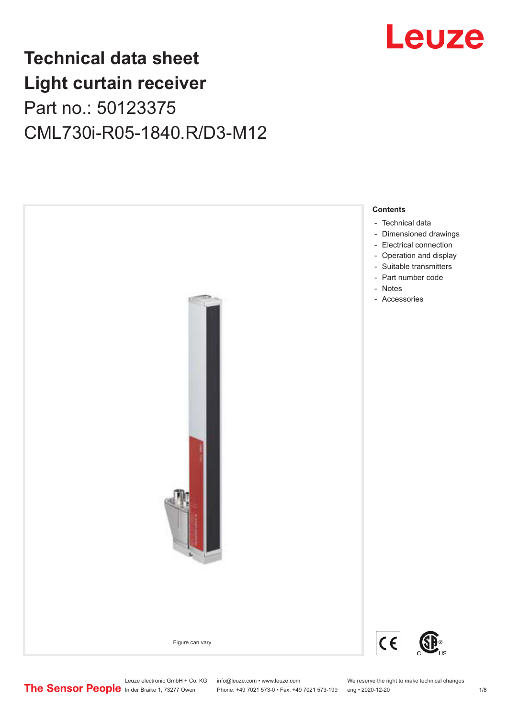

## **Technical data sheet Light curtain receiver** Part no.: 50123375 CML730i-R05-1840.R/D3-M12



Leuze electronic GmbH + Co. KG info@leuze.com • www.leuze.com We reserve the right to make technical changes<br>
The Sensor People in der Braike 1, 73277 Owen Phone: +49 7021 573-0 • Fax: +49 7021 573-199 eng • 2020-12-20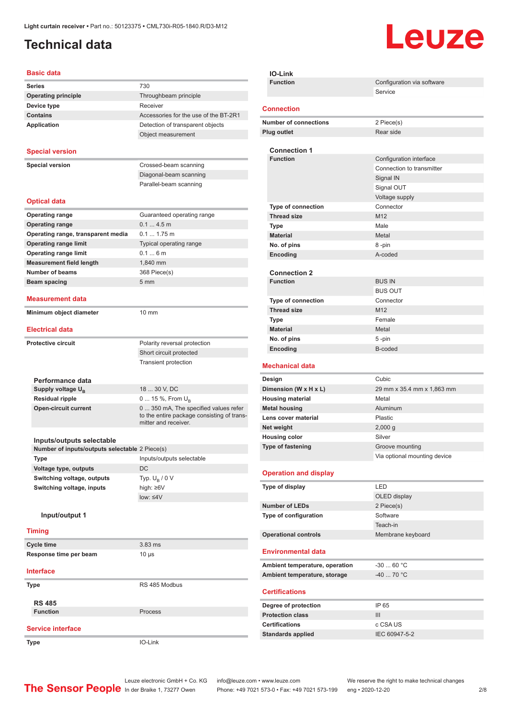## <span id="page-1-0"></span>**Technical data**

# Leuze

#### **Basic data**

| Dasiy yata                                     |                                                                                     |
|------------------------------------------------|-------------------------------------------------------------------------------------|
| <b>Series</b>                                  | 730                                                                                 |
| <b>Operating principle</b>                     | Throughbeam principle                                                               |
| Device type                                    | Receiver                                                                            |
| <b>Contains</b>                                | Accessories for the use of the BT-2R1                                               |
| <b>Application</b>                             | Detection of transparent objects                                                    |
|                                                | Object measurement                                                                  |
| <b>Special version</b>                         |                                                                                     |
| <b>Special version</b>                         | Crossed-beam scanning                                                               |
|                                                | Diagonal-beam scanning                                                              |
|                                                | Parallel-beam scanning                                                              |
|                                                |                                                                                     |
| <b>Optical data</b>                            |                                                                                     |
| <b>Operating range</b>                         | Guaranteed operating range                                                          |
| <b>Operating range</b>                         | 0.14.5m                                                                             |
| Operating range, transparent media             | $0.1 1.75$ m                                                                        |
| <b>Operating range limit</b>                   | Typical operating range                                                             |
| <b>Operating range limit</b>                   | 0.16m                                                                               |
| <b>Measurement field length</b>                | 1,840 mm                                                                            |
| <b>Number of beams</b>                         | 368 Piece(s)                                                                        |
| <b>Beam spacing</b>                            | 5 <sub>mm</sub>                                                                     |
| <b>Measurement data</b>                        |                                                                                     |
| Minimum object diameter                        | 10 mm                                                                               |
|                                                |                                                                                     |
| <b>Electrical data</b>                         |                                                                                     |
| <b>Protective circuit</b>                      | Polarity reversal protection                                                        |
|                                                | Short circuit protected                                                             |
|                                                | Transient protection                                                                |
|                                                |                                                                                     |
| Performance data                               |                                                                                     |
| Supply voltage $U_{B}$                         | 18  30 V, DC                                                                        |
| <b>Residual ripple</b>                         | 0  15 %, From $U_{\rm B}$                                                           |
| <b>Open-circuit current</b>                    | 0  350 mA, The specified values refer<br>to the entire package consisting of trans- |
|                                                | mitter and receiver.                                                                |
| Inputs/outputs selectable                      |                                                                                     |
| Number of inputs/outputs selectable 2 Piece(s) |                                                                                     |
| Type                                           | Inputs/outputs selectable                                                           |
| Voltage type, outputs                          | DC                                                                                  |
| Switching voltage, outputs                     | Typ. $U_B / 0 V$                                                                    |
| Switching voltage, inputs                      | high: ≥6V                                                                           |
|                                                | $low: \leq 4V$                                                                      |
| Input/output 1                                 |                                                                                     |
|                                                |                                                                                     |
| <b>Timing</b>                                  |                                                                                     |
| <b>Cycle time</b>                              | 3.83 ms                                                                             |
| Response time per beam                         | $10 \mu s$                                                                          |
| <b>Interface</b>                               |                                                                                     |
| Type                                           | RS 485 Modbus                                                                       |
|                                                |                                                                                     |
| <b>RS 485</b><br><b>Function</b>               | Process                                                                             |
|                                                |                                                                                     |
| <b>Service interface</b>                       |                                                                                     |
| Type                                           | IO-Link                                                                             |
|                                                |                                                                                     |

| IO-Link                                     |                              |
|---------------------------------------------|------------------------------|
| <b>Function</b>                             | Configuration via software   |
|                                             | Service                      |
| <b>Connection</b>                           |                              |
| <b>Number of connections</b>                | 2 Piece(s)                   |
| <b>Plug outlet</b>                          | Rear side                    |
|                                             |                              |
| <b>Connection 1</b>                         |                              |
| <b>Function</b>                             | Configuration interface      |
|                                             | Connection to transmitter    |
|                                             | Signal IN                    |
|                                             | Signal OUT                   |
|                                             | Voltage supply               |
| Type of connection                          | Connector                    |
| <b>Thread size</b>                          | M12                          |
| Type                                        | Male                         |
| <b>Material</b>                             | Metal                        |
| No. of pins                                 | 8-pin                        |
| Encoding                                    | A-coded                      |
| <b>Connection 2</b>                         |                              |
| <b>Function</b>                             | <b>BUS IN</b>                |
|                                             | <b>BUS OUT</b>               |
| <b>Type of connection</b>                   | Connector                    |
| <b>Thread size</b>                          | M <sub>12</sub>              |
| Type                                        | Female                       |
| <b>Material</b>                             | Metal                        |
| No. of pins                                 | 5-pin                        |
| Encoding                                    | B-coded                      |
|                                             |                              |
| <b>Mechanical data</b>                      |                              |
|                                             |                              |
| Design                                      | Cubic                        |
| Dimension (W x H x L)                       | 29 mm x 35.4 mm x 1,863 mm   |
| <b>Housing material</b>                     | Metal<br>Aluminum            |
| <b>Metal housing</b><br>Lens cover material | Plastic                      |
| Net weight                                  | $2,000$ g                    |
| <b>Housing color</b>                        | Silver                       |
| Type of fastening                           | Groove mounting              |
|                                             | Via optional mounting device |
|                                             |                              |
| <b>Operation and display</b>                |                              |
| Type of display                             | LED                          |
|                                             | OLED display                 |
| <b>Number of LEDs</b>                       | 2 Piece(s)                   |
| Type of configuration                       | Software                     |
|                                             | Teach-in                     |
| <b>Operational controls</b>                 | Membrane keyboard            |
| <b>Environmental data</b>                   |                              |
|                                             |                              |
| Ambient temperature, operation              | $-3060 °C$<br>-40  70 °C     |
| Ambient temperature, storage                |                              |
| <b>Certifications</b>                       |                              |
| Degree of protection                        | IP 65                        |
| <b>Protection class</b>                     | III                          |
| <b>Certifications</b>                       | c CSA US                     |
| <b>Standards applied</b>                    | IEC 60947-5-2                |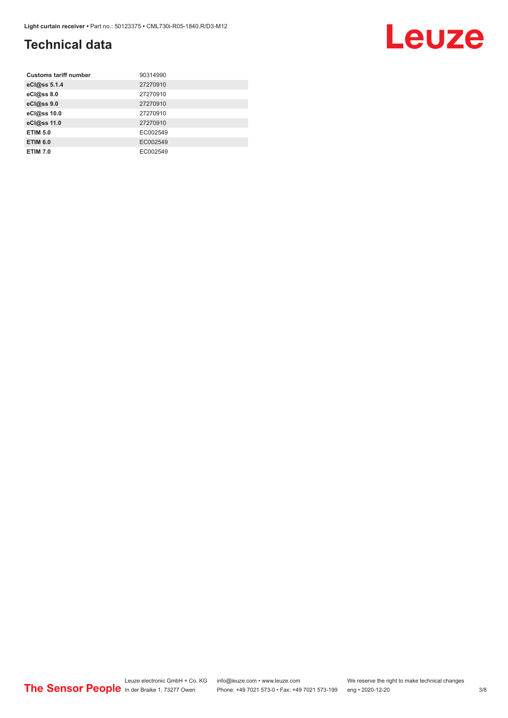## **Technical data**

| <b>Customs tariff number</b> | 90314990 |
|------------------------------|----------|
| eCl@ss 5.1.4                 | 27270910 |
| eCl@ss 8.0                   | 27270910 |
| eCl@ss 9.0                   | 27270910 |
| eCl@ss 10.0                  | 27270910 |
| eCl@ss 11.0                  | 27270910 |
| <b>ETIM 5.0</b>              | EC002549 |
| <b>ETIM 6.0</b>              | EC002549 |
| <b>ETIM 7.0</b>              | EC002549 |

#### Leuze electronic GmbH + Co. KG info@leuze.com • www.leuze.com We reserve the right to make technical changes ln der Braike 1, 73277 Owen Phone: +49 7021 573-0 • Fax: +49 7021 573-199 eng • 2020-12-20 3/8

Leuze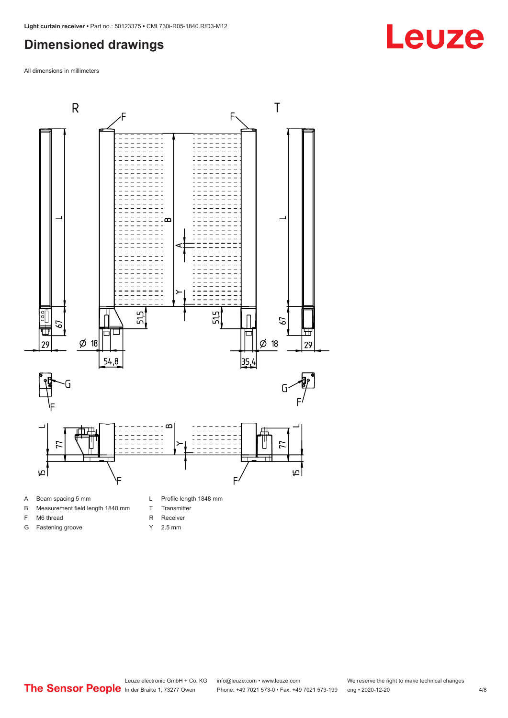#### <span id="page-3-0"></span>**Dimensioned drawings**

All dimensions in millimeters



A Beam spacing 5 mm

G Fastening groove

- B Measurement field length 1840 mm
- F M6 thread
- R Receiver
	- Y 2.5 mm

T Transmitter

## **Leuze**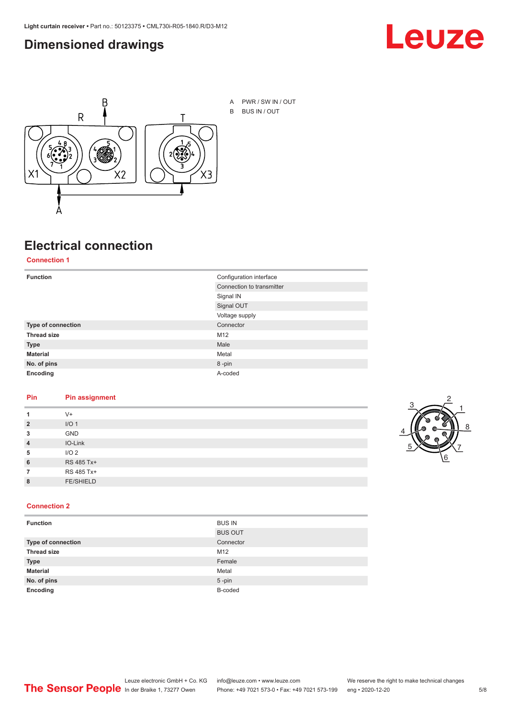#### <span id="page-4-0"></span>**Dimensioned drawings**





A PWR / SW IN / OUT B BUS IN / OUT

## **Electrical connection**

#### **Connection 1**

| <b>Function</b>    | Configuration interface   |
|--------------------|---------------------------|
|                    | Connection to transmitter |
|                    | Signal IN                 |
|                    | Signal OUT                |
|                    | Voltage supply            |
| Type of connection | Connector                 |
| <b>Thread size</b> | M12                       |
| <b>Type</b>        | Male                      |
| <b>Material</b>    | Metal                     |
| No. of pins        | 8-pin                     |
| Encoding           | A-coded                   |

#### **Pin Pin assignment**

| 1              | $V +$            |  |  |
|----------------|------------------|--|--|
| $\overline{2}$ | I/O <sub>1</sub> |  |  |
| 3              | <b>GND</b>       |  |  |
| $\overline{4}$ | IO-Link          |  |  |
| 5              | I/O <sub>2</sub> |  |  |
| 6              | RS 485 Tx+       |  |  |
| 7              | RS 485 Tx+       |  |  |
| 8              | <b>FE/SHIELD</b> |  |  |
|                |                  |  |  |



#### **Connection 2**

| <b>Function</b>    | <b>BUS IN</b>  |
|--------------------|----------------|
|                    | <b>BUS OUT</b> |
| Type of connection | Connector      |
| <b>Thread size</b> | M12            |
| <b>Type</b>        | Female         |
| <b>Material</b>    | Metal          |
| No. of pins        | $5 - pin$      |
| Encoding           | B-coded        |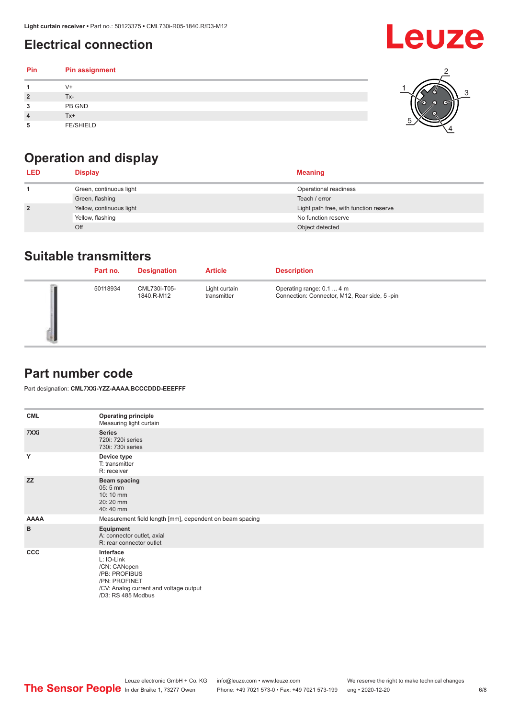## <span id="page-5-0"></span>**Electrical connection**

| Pin | Pin assignment   |  |
|-----|------------------|--|
|     | V+               |  |
| ∍   | Tx-              |  |
| 3   | PB GND           |  |
|     | Tx+              |  |
| 5   | <b>FE/SHIELD</b> |  |

## **Operation and display**

| <b>LED</b>     | <b>Display</b>           | <b>Meaning</b>                         |
|----------------|--------------------------|----------------------------------------|
|                | Green, continuous light  | Operational readiness                  |
|                | Green, flashing          | Teach / error                          |
| $\overline{2}$ | Yellow, continuous light | Light path free, with function reserve |
|                | Yellow, flashing         | No function reserve                    |
|                | Off                      | Object detected                        |

#### **Suitable transmitters**

| Part no. | <b>Designation</b>         | <b>Article</b>               | <b>Description</b>                                                        |
|----------|----------------------------|------------------------------|---------------------------------------------------------------------------|
| 50118934 | CML730i-T05-<br>1840.R-M12 | Light curtain<br>transmitter | Operating range: 0.1  4 m<br>Connection: Connector, M12, Rear side, 5-pin |

#### **Part number code**

Part designation: **CML7XXi-YZZ-AAAA.BCCCDDD-EEEFFF**

| <b>CML</b>  | <b>Operating principle</b><br>Measuring light curtain                                                                                     |
|-------------|-------------------------------------------------------------------------------------------------------------------------------------------|
| 7XXi        | <b>Series</b><br>720i: 720i series<br>730i: 730i series                                                                                   |
| Y           | Device type<br>T: transmitter<br>R: receiver                                                                                              |
| <b>ZZ</b>   | <b>Beam spacing</b><br>$05:5$ mm<br>10:10 mm<br>20:20 mm<br>40:40 mm                                                                      |
| <b>AAAA</b> | Measurement field length [mm], dependent on beam spacing                                                                                  |
| B           | Equipment<br>A: connector outlet, axial<br>R: rear connector outlet                                                                       |
| CCC         | Interface<br>L: IO-Link<br>/CN: CANopen<br>/PB: PROFIBUS<br>/PN: PROFINET<br>/CV: Analog current and voltage output<br>/D3: RS 485 Modbus |

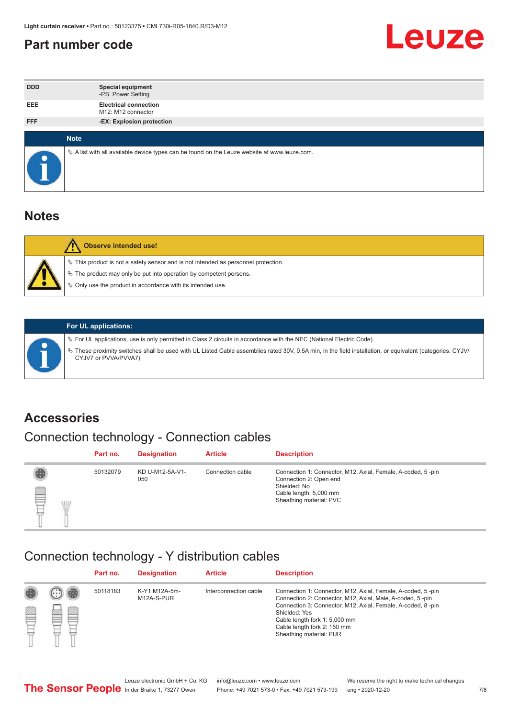#### <span id="page-6-0"></span>**Part number code**



| <b>DDD</b> | <b>Special equipment</b><br>-PS: Power Setting                                                  |
|------------|-------------------------------------------------------------------------------------------------|
| <b>EEE</b> | <b>Electrical connection</b><br>M12: M12 connector                                              |
| <b>FFF</b> | -EX: Explosion protection                                                                       |
|            |                                                                                                 |
|            | <b>Note</b>                                                                                     |
|            | $\&$ A list with all available device types can be found on the Leuze website at www.leuze.com. |

#### **Notes**

| Observe intended use!                                                                                                                                                                                                            |
|----------------------------------------------------------------------------------------------------------------------------------------------------------------------------------------------------------------------------------|
| $\%$ This product is not a safety sensor and is not intended as personnel protection.<br>$\%$ The product may only be put into operation by competent persons.<br>$\%$ Only use the product in accordance with its intended use. |
|                                                                                                                                                                                                                                  |



#### **For UL applications:**

ª For UL applications, use is only permitted in Class 2 circuits in accordance with the NEC (National Electric Code). ª These proximity switches shall be used with UL Listed Cable assemblies rated 30V, 0.5A min, in the field installation, or equivalent (categories: CYJV/ CYJV7 or PVVA/PVVA7)

#### **Accessories**

## Connection technology - Connection cables

|        | Part no. | <b>Designation</b>     | <b>Article</b>   | <b>Description</b>                                                                                                                                         |
|--------|----------|------------------------|------------------|------------------------------------------------------------------------------------------------------------------------------------------------------------|
| 2<br>W | 50132079 | KD U-M12-5A-V1-<br>050 | Connection cable | Connection 1: Connector, M12, Axial, Female, A-coded, 5-pin<br>Connection 2: Open end<br>Shielded: No<br>Cable length: 5,000 mm<br>Sheathing material: PVC |

#### Connection technology - Y distribution cables

|             |   | Part no. | <b>Designation</b>          | <b>Article</b>        | <b>Description</b>                                                                                                                                                                                                                                                                                  |
|-------------|---|----------|-----------------------------|-----------------------|-----------------------------------------------------------------------------------------------------------------------------------------------------------------------------------------------------------------------------------------------------------------------------------------------------|
| 圔<br>⋿<br>٣ | ø | 50118183 | K-Y1 M12A-5m-<br>M12A-S-PUR | Interconnection cable | Connection 1: Connector, M12, Axial, Female, A-coded, 5-pin<br>Connection 2: Connector, M12, Axial, Male, A-coded, 5-pin<br>Connection 3: Connector, M12, Axial, Female, A-coded, 8-pin<br>Shielded: Yes<br>Cable length fork 1: 5,000 mm<br>Cable length fork 2: 150 mm<br>Sheathing material: PUR |